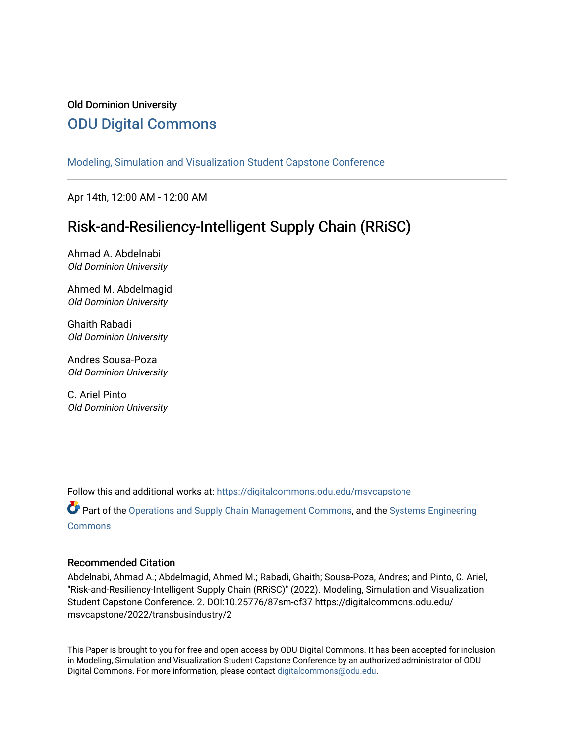## Old Dominion University [ODU Digital Commons](https://digitalcommons.odu.edu/)

[Modeling, Simulation and Visualization Student Capstone Conference](https://digitalcommons.odu.edu/msvcapstone) 

Apr 14th, 12:00 AM - 12:00 AM

# Risk-and-Resiliency-Intelligent Supply Chain (RRiSC)

Ahmad A. Abdelnabi Old Dominion University

Ahmed M. Abdelmagid Old Dominion University

Ghaith Rabadi Old Dominion University

Andres Sousa-Poza Old Dominion University

C. Ariel Pinto Old Dominion University

Follow this and additional works at: [https://digitalcommons.odu.edu/msvcapstone](https://digitalcommons.odu.edu/msvcapstone?utm_source=digitalcommons.odu.edu%2Fmsvcapstone%2F2022%2Ftransbusindustry%2F2&utm_medium=PDF&utm_campaign=PDFCoverPages) 

Part of the [Operations and Supply Chain Management Commons,](http://network.bepress.com/hgg/discipline/1229?utm_source=digitalcommons.odu.edu%2Fmsvcapstone%2F2022%2Ftransbusindustry%2F2&utm_medium=PDF&utm_campaign=PDFCoverPages) and the [Systems Engineering](http://network.bepress.com/hgg/discipline/309?utm_source=digitalcommons.odu.edu%2Fmsvcapstone%2F2022%2Ftransbusindustry%2F2&utm_medium=PDF&utm_campaign=PDFCoverPages)  **[Commons](http://network.bepress.com/hgg/discipline/309?utm_source=digitalcommons.odu.edu%2Fmsvcapstone%2F2022%2Ftransbusindustry%2F2&utm_medium=PDF&utm_campaign=PDFCoverPages)** 

#### Recommended Citation

Abdelnabi, Ahmad A.; Abdelmagid, Ahmed M.; Rabadi, Ghaith; Sousa-Poza, Andres; and Pinto, C. Ariel, "Risk-and-Resiliency-Intelligent Supply Chain (RRiSC)" (2022). Modeling, Simulation and Visualization Student Capstone Conference. 2. DOI:10.25776/87sm-cf37 https://digitalcommons.odu.edu/ msvcapstone/2022/transbusindustry/2

This Paper is brought to you for free and open access by ODU Digital Commons. It has been accepted for inclusion in Modeling, Simulation and Visualization Student Capstone Conference by an authorized administrator of ODU Digital Commons. For more information, please contact [digitalcommons@odu.edu.](mailto:digitalcommons@odu.edu)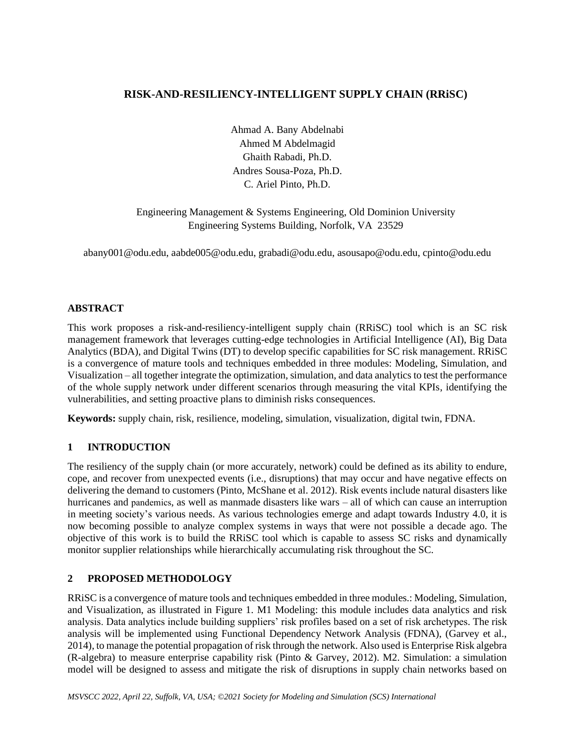## **RISK-AND-RESILIENCY-INTELLIGENT SUPPLY CHAIN (RRiSC)**

Ahmad A. Bany Abdelnabi Ahmed M Abdelmagid Ghaith Rabadi, Ph.D. Andres Sousa-Poza, Ph.D. C. Ariel Pinto, Ph.D.

Engineering Management & Systems Engineering, Old Dominion University Engineering Systems Building, Norfolk, VA 23529

abany001@odu.edu, aabde005@odu.edu, grabadi@odu.edu, asousapo@odu.edu, cpinto@odu.edu

#### **ABSTRACT**

This work proposes a risk-and-resiliency-intelligent supply chain (RRiSC) tool which is an SC risk management framework that leverages cutting-edge technologies in Artificial Intelligence (AI), Big Data Analytics (BDA), and Digital Twins (DT) to develop specific capabilities for SC risk management. RRiSC is a convergence of mature tools and techniques embedded in three modules: Modeling, Simulation, and Visualization – all together integrate the optimization, simulation, and data analytics to test the performance of the whole supply network under different scenarios through measuring the vital KPIs, identifying the vulnerabilities, and setting proactive plans to diminish risks consequences.

**Keywords:** supply chain, risk, resilience, modeling, simulation, visualization, digital twin, FDNA.

### **1 INTRODUCTION**

The resiliency of the supply chain (or more accurately, network) could be defined as its ability to endure, cope, and recover from unexpected events (i.e., disruptions) that may occur and have negative effects on delivering the demand to customers (Pinto, McShane et al. 2012). Risk events include natural disasters like hurricanes and pandemics, as well as manmade disasters like wars – all of which can cause an interruption in meeting society's various needs. As various technologies emerge and adapt towards Industry 4.0, it is now becoming possible to analyze complex systems in ways that were not possible a decade ago. The objective of this work is to build the RRiSC tool which is capable to assess SC risks and dynamically monitor supplier relationships while hierarchically accumulating risk throughout the SC.

### **2 PROPOSED METHODOLOGY**

RRiSC is a convergence of mature tools and techniques embedded in three modules.: Modeling, Simulation, and Visualization, as illustrated in Figure 1. M1 Modeling: this module includes data analytics and risk analysis. Data analytics include building suppliers' risk profiles based on a set of risk archetypes. The risk analysis will be implemented using Functional Dependency Network Analysis (FDNA), (Garvey et al., 2014), to manage the potential propagation of risk through the network. Also used is Enterprise Risk algebra (R-algebra) to measure enterprise capability risk (Pinto & Garvey, 2012). M2. Simulation: a simulation model will be designed to assess and mitigate the risk of disruptions in supply chain networks based on